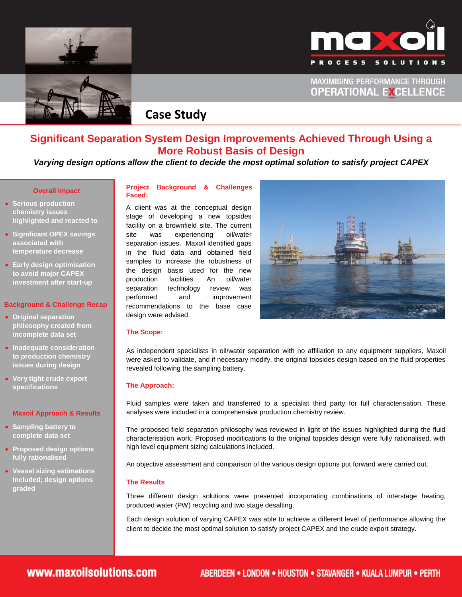



**MAXIMISING PERFORMANCE THROUGH OPERATIONAL EXCELLENCE** 



# **Case Study**

### **Significant Separation System Design Improvements Achieved Through Using a More Robust Basis of Design**

### *Varying design options allow the client to decide the most optimal solution to satisfy project CAPEX*

#### **Overall Impact**

- **Serious production chemistry issues highlighted and reacted to**
- **Significant OPEX savings associated with temperature decrease**
- **Early design optimisation to avoid major CAPEX investment after start-up**

#### **Background & Challenge Recap**

- **Original separation philosophy created from incomplete data set**
- **Inadequate consideration to production chemistry issues during design**
- **Very tight crude export specifications**

#### **Maxoil Approach & Results**

- **Sampling battery to complete data set**
- **Proposed design options fully rationalised**
- **Vessel sizing estimations included; design options graded**

#### **Project Background & Challenges Faced:**

A client was at the conceptual design stage of developing a new topsides facility on a brownfield site. The current site was experiencing oil/water separation issues. Maxoil identified gaps in the fluid data and obtained field samples to increase the robustness of the design basis used for the new production facilities. An oil/water separation technology review was performed and improvement recommendations to the base case design were advised.



#### **The Scope:**

As independent specialists in oil/water separation with no affiliation to any equipment suppliers, Maxoil were asked to validate, and if necessary modify, the original topsides design based on the fluid properties revealed following the sampling battery.

#### **The Approach:**

Fluid samples were taken and transferred to a specialist third party for full characterisation. These analyses were included in a comprehensive production chemistry review.

The proposed field separation philosophy was reviewed in light of the issues highlighted during the fluid characterisation work. Proposed modifications to the original topsides design were fully rationalised, with high level equipment sizing calculations included.

An objective assessment and comparison of the various design options put forward were carried out.

#### **The Results**

Three different design solutions were presented incorporating combinations of interstage heating, produced water (PW) recycling and two stage desalting.

Each design solution of varying CAPEX was able to achieve a different level of performance allowing the client to decide the most optimal solution to satisfy project CAPEX and the crude export strategy.